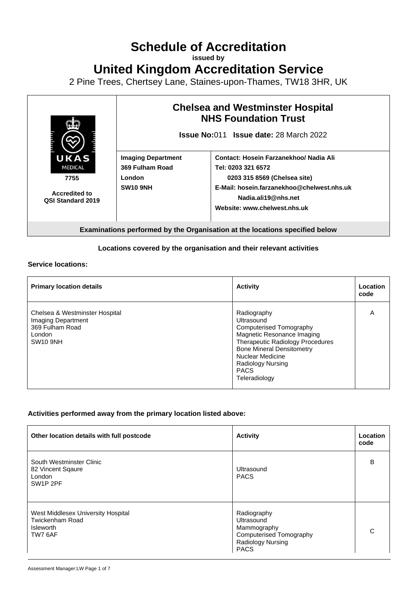## **Schedule of Accreditation**

**issued by**

**United Kingdom Accreditation Service**

2 Pine Trees, Chertsey Lane, Staines-upon-Thames, TW18 3HR, UK



## **Locations covered by the organisation and their relevant activities**

**Service locations:**

| <b>Primary location details</b>                                                                      | <b>Activity</b>                                                                                                                                                                                                                                   | Location<br>code |
|------------------------------------------------------------------------------------------------------|---------------------------------------------------------------------------------------------------------------------------------------------------------------------------------------------------------------------------------------------------|------------------|
| Chelsea & Westminster Hospital<br>Imaging Department<br>369 Fulham Road<br>London<br><b>SW10 9NH</b> | Radiography<br>Ultrasound<br>Computerised Tomography<br>Magnetic Resonance Imaging<br><b>Therapeutic Radiology Procedures</b><br><b>Bone Mineral Densitometry</b><br>Nuclear Medicine<br><b>Radiology Nursing</b><br><b>PACS</b><br>Teleradiology | A                |

## **Activities performed away from the primary location listed above:**

| Other location details with full postcode                                                    | <b>Activity</b>                                                                                                | Location<br>code |
|----------------------------------------------------------------------------------------------|----------------------------------------------------------------------------------------------------------------|------------------|
| South Westminster Clinic<br>82 Vincent Sqaure<br>London<br>SW <sub>1</sub> P <sub>2</sub> PF | Ultrasound<br><b>PACS</b>                                                                                      | B                |
| West Middlesex University Hospital<br>Twickenham Road<br><b>Isleworth</b><br>TW7 6AF         | Radiography<br>Ultrasound<br>Mammography<br><b>Computerised Tomography</b><br>Radiology Nursing<br><b>PACS</b> | $\cap$           |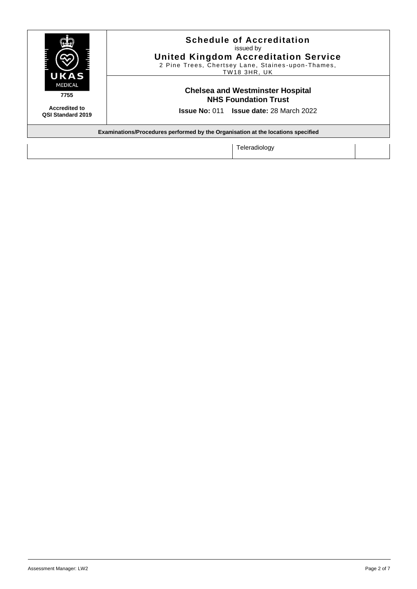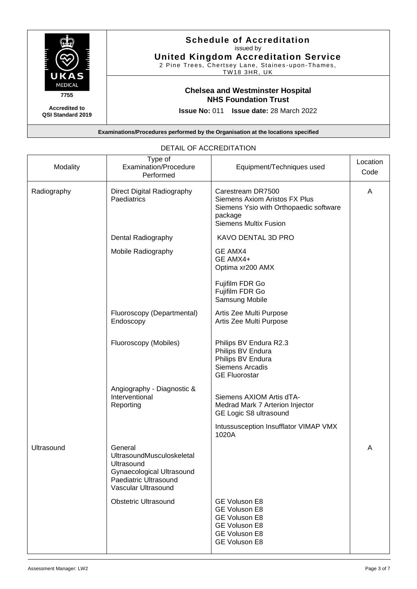

| Modality    | Type of<br>Examination/Procedure<br>Performed                                                                                   | Equipment/Techniques used                                                                                                                      | Location<br>Code |
|-------------|---------------------------------------------------------------------------------------------------------------------------------|------------------------------------------------------------------------------------------------------------------------------------------------|------------------|
| Radiography | Direct Digital Radiography<br>Paediatrics                                                                                       | Carestream DR7500<br><b>Siemens Axiom Aristos FX Plus</b><br>Siemens Ysio with Orthopaedic software<br>package<br><b>Siemens Multix Fusion</b> | A                |
|             | Dental Radiography                                                                                                              | KAVO DENTAL 3D PRO                                                                                                                             |                  |
|             | Mobile Radiography                                                                                                              | <b>GE AMX4</b><br>GE AMX4+<br>Optima xr200 AMX                                                                                                 |                  |
|             |                                                                                                                                 | Fujifilm FDR Go<br>Fujifilm FDR Go<br>Samsung Mobile                                                                                           |                  |
|             | Fluoroscopy (Departmental)<br>Endoscopy                                                                                         | Artis Zee Multi Purpose<br>Artis Zee Multi Purpose                                                                                             |                  |
|             | Fluoroscopy (Mobiles)                                                                                                           | Philips BV Endura R2.3<br>Philips BV Endura<br>Philips BV Endura<br>Siemens Arcadis<br><b>GE Fluorostar</b>                                    |                  |
|             | Angiography - Diagnostic &<br>Interventional<br>Reporting                                                                       | Siemens AXIOM Artis dTA-<br>Medrad Mark 7 Arterion Injector<br>GE Logic S8 ultrasound                                                          |                  |
|             |                                                                                                                                 | Intussusception Insufflator VIMAP VMX<br>1020A                                                                                                 |                  |
| Ultrasound  | General<br>UltrasoundMusculoskeletal<br>Ultrasound<br>Gynaecological Ultrasound<br>Paediatric Ultrasound<br>Vascular Ultrasound |                                                                                                                                                | A                |
|             | <b>Obstetric Ultrasound</b>                                                                                                     | GE Voluson E8<br>GE Voluson E8<br>GE Voluson E8<br><b>GE Voluson E8</b><br>GE Voluson E8<br>GE Voluson E8                                      |                  |

## DETAIL OF ACCREDITATION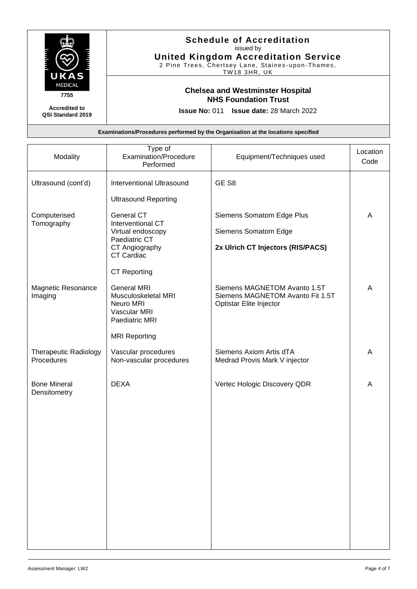

| Modality                                   | Type of<br>Examination/Procedure<br>Performed                                            | Equipment/Techniques used                                                                   | Location<br>Code |
|--------------------------------------------|------------------------------------------------------------------------------------------|---------------------------------------------------------------------------------------------|------------------|
| Ultrasound (cont'd)                        | <b>Interventional Ultrasound</b>                                                         | GE <sub>S8</sub>                                                                            |                  |
|                                            | <b>Ultrasound Reporting</b>                                                              |                                                                                             |                  |
| Computerised<br>Tomography                 | General CT<br>Interventional CT                                                          | Siemens Somatom Edge Plus                                                                   | A                |
|                                            | Virtual endoscopy<br>Paediatric CT                                                       | Siemens Somatom Edge                                                                        |                  |
|                                            | CT Angiography<br>CT Cardiac                                                             | 2x Ulrich CT Injectors (RIS/PACS)                                                           |                  |
|                                            | <b>CT Reporting</b>                                                                      |                                                                                             |                  |
| Magnetic Resonance<br>Imaging              | <b>General MRI</b><br>Musculoskeletal MRI<br>Neuro MRI<br>Vascular MRI<br>Paediatric MRI | Siemens MAGNETOM Avanto 1.5T<br>Siemens MAGNETOM Avanto Fit 1.5T<br>Optistar Elite Injector | A                |
|                                            | <b>MRI Reporting</b>                                                                     |                                                                                             |                  |
| <b>Therapeutic Radiology</b><br>Procedures | Vascular procedures<br>Non-vascular procedures                                           | Siemens Axiom Artis dTA<br>Medrad Provis Mark V injector                                    | A                |
| <b>Bone Mineral</b><br>Densitometry        | <b>DEXA</b>                                                                              | Vertec Hologic Discovery QDR                                                                | A                |
|                                            |                                                                                          |                                                                                             |                  |
|                                            |                                                                                          |                                                                                             |                  |
|                                            |                                                                                          |                                                                                             |                  |
|                                            |                                                                                          |                                                                                             |                  |
|                                            |                                                                                          |                                                                                             |                  |
|                                            |                                                                                          |                                                                                             |                  |
|                                            |                                                                                          |                                                                                             |                  |
|                                            |                                                                                          |                                                                                             |                  |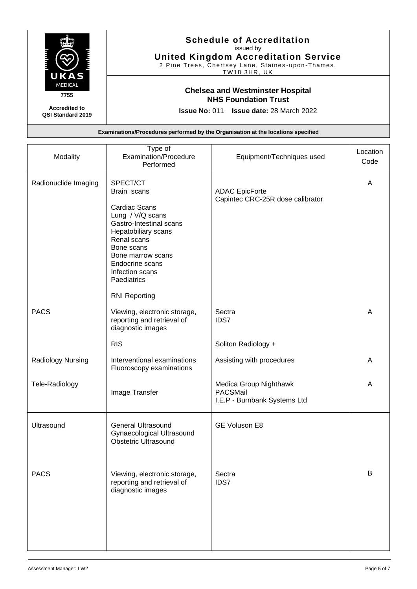

| Modality             | Type of<br>Examination/Procedure<br>Performed                                                                                                                                                                                | Equipment/Techniques used                                          | Location<br>Code |
|----------------------|------------------------------------------------------------------------------------------------------------------------------------------------------------------------------------------------------------------------------|--------------------------------------------------------------------|------------------|
| Radionuclide Imaging | SPECT/CT<br>Brain scans<br><b>Cardiac Scans</b><br>Lung / V/Q scans<br>Gastro-Intestinal scans<br>Hepatobiliary scans<br>Renal scans<br>Bone scans<br>Bone marrow scans<br>Endocrine scans<br>Infection scans<br>Paediatrics | <b>ADAC EpicForte</b><br>Capintec CRC-25R dose calibrator          | A                |
| <b>PACS</b>          | <b>RNI Reporting</b><br>Viewing, electronic storage,<br>reporting and retrieval of<br>diagnostic images                                                                                                                      | Sectra<br><b>IDS7</b>                                              | A                |
|                      | <b>RIS</b>                                                                                                                                                                                                                   | Soliton Radiology +                                                |                  |
| Radiology Nursing    | Interventional examinations<br>Fluoroscopy examinations                                                                                                                                                                      | Assisting with procedures                                          | A                |
| Tele-Radiology       | Image Transfer                                                                                                                                                                                                               | Medica Group Nighthawk<br>PACSMail<br>I.E.P - Burnbank Systems Ltd | A                |
| Ultrasound           | <b>General Ultrasound</b><br>Gynaecological Ultrasound<br><b>Obstetric Ultrasound</b>                                                                                                                                        | GE Voluson E8                                                      |                  |
| <b>PACS</b>          | Viewing, electronic storage,<br>reporting and retrieval of<br>diagnostic images                                                                                                                                              | Sectra<br><b>IDS7</b>                                              | В                |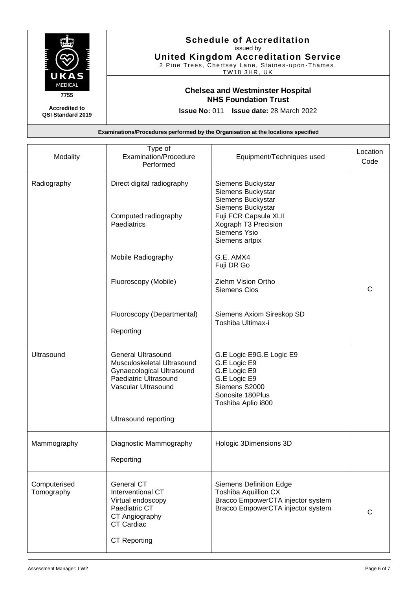

| Modality                   | Type of<br><b>Examination/Procedure</b><br>Performed                                                                                       | Equipment/Techniques used                                                                                                                                           | Location<br>Code |
|----------------------------|--------------------------------------------------------------------------------------------------------------------------------------------|---------------------------------------------------------------------------------------------------------------------------------------------------------------------|------------------|
| Radiography                | Direct digital radiography<br>Computed radiography<br>Paediatrics                                                                          | Siemens Buckystar<br>Siemens Buckystar<br>Siemens Buckystar<br>Siemens Buckystar<br>Fuji FCR Capsula XLII<br>Xograph T3 Precision<br>Siemens Ysio<br>Siemens artpix |                  |
|                            | Mobile Radiography                                                                                                                         | G.E. AMX4<br>Fuji DR Go                                                                                                                                             |                  |
|                            | Fluoroscopy (Mobile)                                                                                                                       | Ziehm Vision Ortho<br><b>Siemens Cios</b>                                                                                                                           | C                |
|                            | Fluoroscopy (Departmental)<br>Reporting                                                                                                    | Siemens Axiom Sireskop SD<br>Toshiba Ultimax-i                                                                                                                      |                  |
| Ultrasound                 | <b>General Ultrasound</b><br>Musculoskeletal Ultrasound<br>Gynaecological Ultrasound<br>Paediatric Ultrasound<br>Vascular Ultrasound       | G.E Logic E9G.E Logic E9<br>G.E Logic E9<br>G.E Logic E9<br>G.E Logic E9<br>Siemens S2000<br>Sonosite 180Plus<br>Toshiba Aplio i800                                 |                  |
|                            | Ultrasound reporting                                                                                                                       |                                                                                                                                                                     |                  |
| Mammography                | Diagnostic Mammography<br>Reporting                                                                                                        | Hologic 3Dimensions 3D                                                                                                                                              |                  |
| Computerised<br>Tomography | <b>General CT</b><br>Interventional CT<br>Virtual endoscopy<br>Paediatric CT<br>CT Angiography<br><b>CT Cardiac</b><br><b>CT Reporting</b> | <b>Siemens Definition Edge</b><br><b>Toshiba Aquillion CX</b><br>Bracco EmpowerCTA injector system<br>Bracco EmpowerCTA injector system                             | C                |